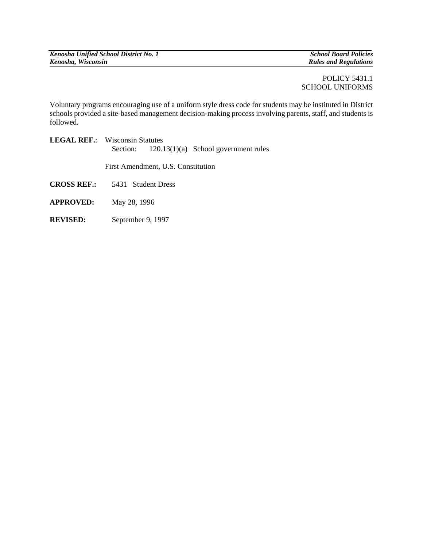## POLICY 5431.1 SCHOOL UNIFORMS

Voluntary programs encouraging use of a uniform style dress code for students may be instituted in District schools provided a site-based management decision-making process involving parents, staff, and students is followed.

|                    | <b>LEGAL REF.:</b> Wisconsin Statutes |  |  |                                                 |
|--------------------|---------------------------------------|--|--|-------------------------------------------------|
|                    |                                       |  |  | Section: $120.13(1)(a)$ School government rules |
|                    | First Amendment, U.S. Constitution    |  |  |                                                 |
| <b>CROSS REF.:</b> | 5431 Student Dress                    |  |  |                                                 |
| <b>APPROVED:</b>   | May 28, 1996                          |  |  |                                                 |
| <b>REVISED:</b>    | September 9, 1997                     |  |  |                                                 |